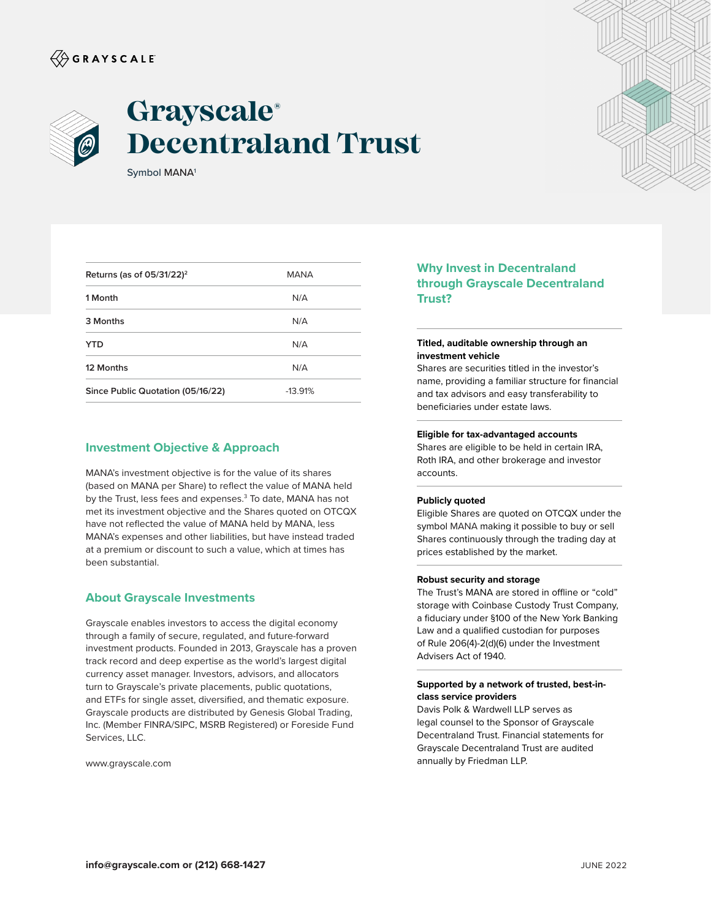# $\langle\!\!\!\langle\hat{\mathbin{\hspace{1.5pt}\circ}}$  G R A Y S C A L E



# **Grayscale® Decentraland Trust**

Symbol MANA1

| Returns (as of $05/31/22$ ) <sup>2</sup> | <b>MANA</b> |  |
|------------------------------------------|-------------|--|
| 1 Month                                  | N/A         |  |
| 3 Months                                 | N/A         |  |
| YTD                                      | N/A         |  |
| 12 Months                                | N/A         |  |
| Since Public Quotation (05/16/22)        | $-13.91%$   |  |
|                                          |             |  |

# **Investment Objective & Approach**

MANA's investment objective is for the value of its shares (based on MANA per Share) to reflect the value of MANA held by the Trust, less fees and expenses.<sup>3</sup> To date, MANA has not met its investment objective and the Shares quoted on OTCQX have not reflected the value of MANA held by MANA, less MANA's expenses and other liabilities, but have instead traded at a premium or discount to such a value, which at times has been substantial.

### **About Grayscale Investments**

Grayscale enables investors to access the digital economy through a family of secure, regulated, and future-forward investment products. Founded in 2013, Grayscale has a proven track record and deep expertise as the world's largest digital currency asset manager. Investors, advisors, and allocators turn to Grayscale's private placements, public quotations, and ETFs for single asset, diversified, and thematic exposure. Grayscale products are distributed by Genesis Global Trading, Inc. (Member FINRA/SIPC, MSRB Registered) or Foreside Fund Services, LLC.

www.grayscale.com



# **Why Invest in Decentraland through Grayscale Decentraland Trust?**

#### **Titled, auditable ownership through an investment vehicle**

Shares are securities titled in the investor's name, providing a familiar structure for financial and tax advisors and easy transferability to beneficiaries under estate laws.

#### **Eligible for tax-advantaged accounts**

Shares are eligible to be held in certain IRA, Roth IRA, and other brokerage and investor accounts.

#### **Publicly quoted**

Eligible Shares are quoted on OTCQX under the symbol MANA making it possible to buy or sell Shares continuously through the trading day at prices established by the market.

#### **Robust security and storage**

The Trust's MANA are stored in offline or "cold" storage with Coinbase Custody Trust Company, a fiduciary under §100 of the New York Banking Law and a qualified custodian for purposes of Rule 206(4)-2(d)(6) under the Investment Advisers Act of 1940.

#### **Supported by a network of trusted, best-inclass service providers**

Davis Polk & Wardwell LLP serves as legal counsel to the Sponsor of Grayscale Decentraland Trust. Financial statements for Grayscale Decentraland Trust are audited annually by Friedman LLP.